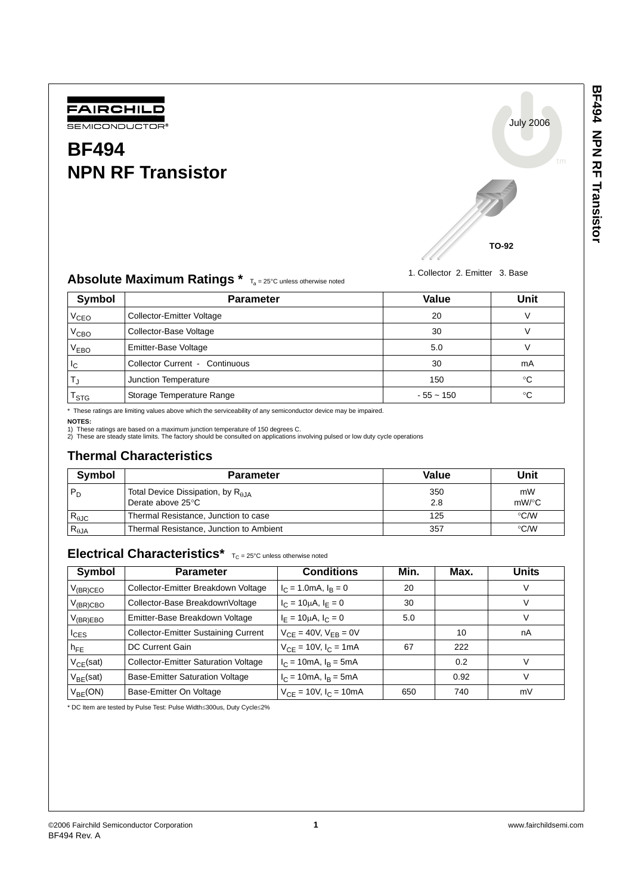

# **BF494 NPN RF Transistor**



1. Collector 2. Emitter 3. Base

## Absolute Maximum Ratings \* Ta = 25°C unless otherwise noted

| Symbol                 | <b>Parameter</b>                      | Value       | Unit |
|------------------------|---------------------------------------|-------------|------|
| <b>V<sub>CEO</sub></b> | Collector-Emitter Voltage             | 20          |      |
| V <sub>CBO</sub>       | Collector-Base Voltage                | 30          |      |
| V <sub>EBO</sub>       | Emitter-Base Voltage                  | 5.0         |      |
| $I_{\rm C}$            | <b>Collector Current - Continuous</b> | 30          | mA   |
|                        | Junction Temperature                  | 150         | °C   |
| $I_{STG}$              | Storage Temperature Range             | $-55 - 150$ | °C   |

\* These ratings are limiting values above which the serviceability of any semiconductor device may be impaired.

**NOTES:**

1) These ratings are based on a maximum junction temperature of 150 degrees C. 2) These are steady state limits. The factory should be consulted on applications involving pulsed or low duty cycle operations

## **Thermal Characteristics**

| <b>Symbol</b>   | <b>Parameter</b>                                                  | Value      | Unit           |
|-----------------|-------------------------------------------------------------------|------------|----------------|
| $P_D$           | Total Device Dissipation, by $R_{\theta JA}$<br>Derate above 25°C | 350<br>2.8 | mW<br>$mW$ /°C |
| $R_{\theta$ JC  | Thermal Resistance, Junction to case                              | 125        | $\degree$ C/W  |
| $R_{\theta JA}$ | Thermal Resistance, Junction to Ambient                           | 357        | $\degree$ C/W  |

## Electrical Characteristics\*  $T_C = 25^{\circ}C$  unless otherwise noted

| Symbol         | <b>Parameter</b>                            | <b>Conditions</b>              | Min. | Max. | Units |
|----------------|---------------------------------------------|--------------------------------|------|------|-------|
| $V_{(BR)CEO}$  | Collector-Emitter Breakdown Voltage         | $I_C = 1.0 \text{mA}, I_R = 0$ | 20   |      |       |
| $V_{(BR)CBO}$  | Collector-Base BreakdownVoltage             | $I_C = 10 \mu A$ , $I_E = 0$   | 30   |      |       |
| $V_{(BR)EBO}$  | Emitter-Base Breakdown Voltage              | $I_F = 10 \mu A$ , $I_C = 0$   | 5.0  |      |       |
| $I_{CES}$      | <b>Collector-Emitter Sustaining Current</b> | $V_{CE} = 40V$ , $V_{EB} = 0V$ |      | 10   | nA    |
| $h_{FE}$       | DC Current Gain                             | $V_{CE} = 10V$ , $I_C = 1mA$   | 67   | 222  |       |
| $V_{CE}$ (sat) | <b>Collector-Emitter Saturation Voltage</b> | $I_C = 10mA$ , $I_B = 5mA$     |      | 0.2  |       |
| $V_{BE}$ (sat) | <b>Base-Emitter Saturation Voltage</b>      | $I_C = 10mA, I_B = 5mA$        |      | 0.92 |       |
| $V_{BE}(ON)$   | Base-Emitter On Voltage                     | $V_{CF} = 10V$ , $I_C = 10mA$  | 650  | 740  | mV    |

\* DC Item are tested by Pulse Test: Pulse Width≤300us, Duty Cycle≤2%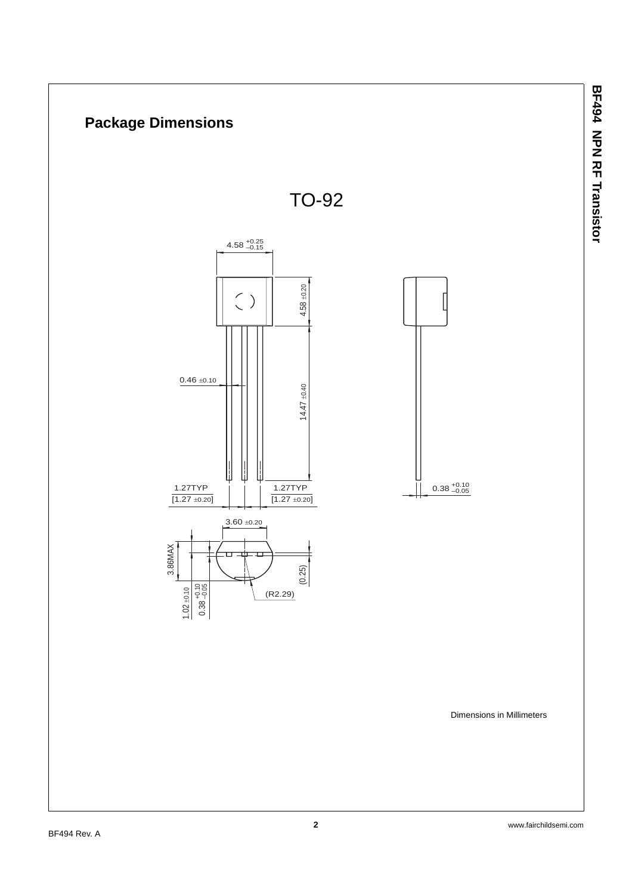

**BF494 NPN RF Transistor**